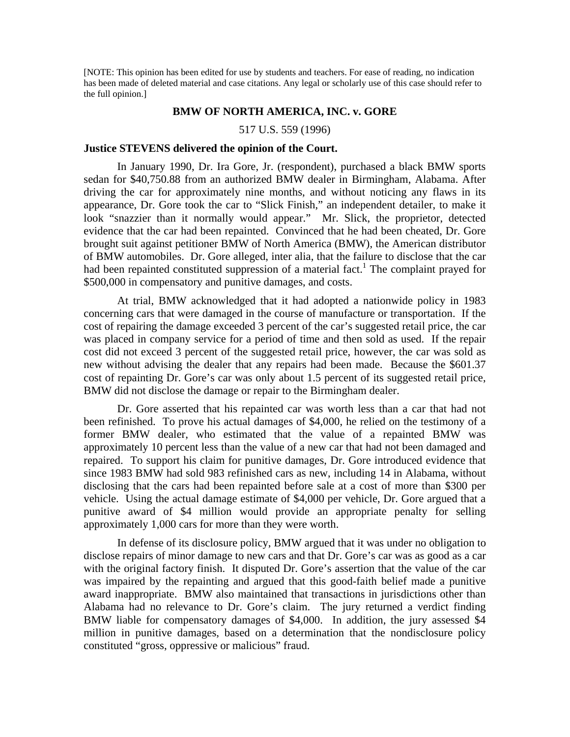[NOTE: This opinion has been edited for use by students and teachers. For ease of reading, no indication has been made of deleted material and case citations. Any legal or scholarly use of this case should refer to the full opinion.]

#### **BMW OF NORTH AMERICA, INC. v. GORE**

#### 517 U.S. 559 (1996)

# **Justice STEVENS delivered the opinion of the Court.**

 In January 1990, Dr. Ira Gore, Jr. (respondent), purchased a black BMW sports sedan for \$40,750.88 from an authorized BMW dealer in Birmingham, Alabama. After driving the car for approximately nine months, and without noticing any flaws in its appearance, Dr. Gore took the car to "Slick Finish," an independent detailer, to make it look "snazzier than it normally would appear." Mr. Slick, the proprietor, detected evidence that the car had been repainted. Convinced that he had been cheated, Dr. Gore brought suit against petitioner BMW of North America (BMW), the American distributor of BMW automobiles. Dr. Gore alleged, inter alia, that the failure to disclose that the car had been repainted constituted suppression of a material fact.<sup>1</sup> The complaint prayed for \$500,000 in compensatory and punitive damages, and costs.

 At trial, BMW acknowledged that it had adopted a nationwide policy in 1983 concerning cars that were damaged in the course of manufacture or transportation. If the cost of repairing the damage exceeded 3 percent of the car's suggested retail price, the car was placed in company service for a period of time and then sold as used. If the repair cost did not exceed 3 percent of the suggested retail price, however, the car was sold as new without advising the dealer that any repairs had been made. Because the \$601.37 cost of repainting Dr. Gore's car was only about 1.5 percent of its suggested retail price, BMW did not disclose the damage or repair to the Birmingham dealer.

 Dr. Gore asserted that his repainted car was worth less than a car that had not been refinished. To prove his actual damages of \$4,000, he relied on the testimony of a former BMW dealer, who estimated that the value of a repainted BMW was approximately 10 percent less than the value of a new car that had not been damaged and repaired. To support his claim for punitive damages, Dr. Gore introduced evidence that since 1983 BMW had sold 983 refinished cars as new, including 14 in Alabama, without disclosing that the cars had been repainted before sale at a cost of more than \$300 per vehicle. Using the actual damage estimate of \$4,000 per vehicle, Dr. Gore argued that a punitive award of \$4 million would provide an appropriate penalty for selling approximately 1,000 cars for more than they were worth.

 In defense of its disclosure policy, BMW argued that it was under no obligation to disclose repairs of minor damage to new cars and that Dr. Gore's car was as good as a car with the original factory finish. It disputed Dr. Gore's assertion that the value of the car was impaired by the repainting and argued that this good-faith belief made a punitive award inappropriate. BMW also maintained that transactions in jurisdictions other than Alabama had no relevance to Dr. Gore's claim. The jury returned a verdict finding BMW liable for compensatory damages of \$4,000. In addition, the jury assessed \$4 million in punitive damages, based on a determination that the nondisclosure policy constituted "gross, oppressive or malicious" fraud.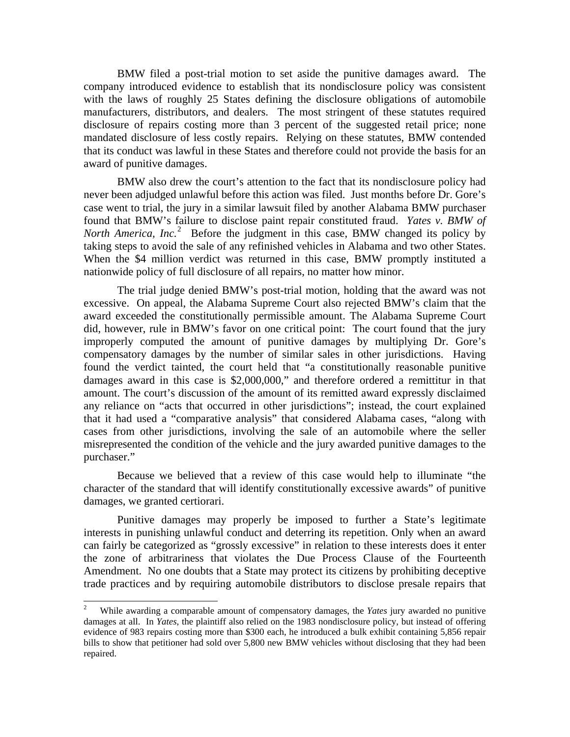BMW filed a post-trial motion to set aside the punitive damages award. The company introduced evidence to establish that its nondisclosure policy was consistent with the laws of roughly 25 States defining the disclosure obligations of automobile manufacturers, distributors, and dealers. The most stringent of these statutes required disclosure of repairs costing more than 3 percent of the suggested retail price; none mandated disclosure of less costly repairs. Relying on these statutes, BMW contended that its conduct was lawful in these States and therefore could not provide the basis for an award of punitive damages.

 BMW also drew the court's attention to the fact that its nondisclosure policy had never been adjudged unlawful before this action was filed. Just months before Dr. Gore's case went to trial, the jury in a similar lawsuit filed by another Alabama BMW purchaser found that BMW's failure to disclose paint repair constituted fraud. *Yates v. BMW of*  North America, Inc.<sup>[2](#page-1-0)</sup> Before the judgment in this case, BMW changed its policy by taking steps to avoid the sale of any refinished vehicles in Alabama and two other States. When the \$4 million verdict was returned in this case, BMW promptly instituted a nationwide policy of full disclosure of all repairs, no matter how minor.

 The trial judge denied BMW's post-trial motion, holding that the award was not excessive. On appeal, the Alabama Supreme Court also rejected BMW's claim that the award exceeded the constitutionally permissible amount. The Alabama Supreme Court did, however, rule in BMW's favor on one critical point: The court found that the jury improperly computed the amount of punitive damages by multiplying Dr. Gore's compensatory damages by the number of similar sales in other jurisdictions. Having found the verdict tainted, the court held that "a constitutionally reasonable punitive damages award in this case is \$2,000,000," and therefore ordered a remittitur in that amount. The court's discussion of the amount of its remitted award expressly disclaimed any reliance on "acts that occurred in other jurisdictions"; instead, the court explained that it had used a "comparative analysis" that considered Alabama cases, "along with cases from other jurisdictions, involving the sale of an automobile where the seller misrepresented the condition of the vehicle and the jury awarded punitive damages to the purchaser."

 Because we believed that a review of this case would help to illuminate "the character of the standard that will identify constitutionally excessive awards" of punitive damages, we granted certiorari.

 Punitive damages may properly be imposed to further a State's legitimate interests in punishing unlawful conduct and deterring its repetition. Only when an award can fairly be categorized as "grossly excessive" in relation to these interests does it enter the zone of arbitrariness that violates the Due Process Clause of the Fourteenth Amendment. No one doubts that a State may protect its citizens by prohibiting deceptive trade practices and by requiring automobile distributors to disclose presale repairs that

<span id="page-1-0"></span> $\overline{c}$ 2 While awarding a comparable amount of compensatory damages, the *Yates* jury awarded no punitive damages at all. In *Yates*, the plaintiff also relied on the 1983 nondisclosure policy, but instead of offering evidence of 983 repairs costing more than \$300 each, he introduced a bulk exhibit containing 5,856 repair bills to show that petitioner had sold over 5,800 new BMW vehicles without disclosing that they had been repaired.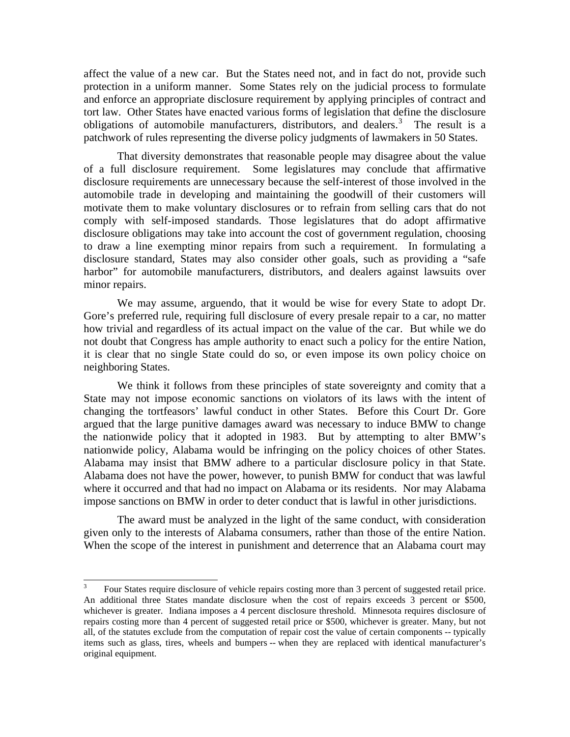affect the value of a new car. But the States need not, and in fact do not, provide such protection in a uniform manner. Some States rely on the judicial process to formulate and enforce an appropriate disclosure requirement by applying principles of contract and tort law. Other States have enacted various forms of legislation that define the disclosure obligations of automobile manufacturers, distributors, and dealers.<sup>[3](#page-2-0)</sup> The result is a patchwork of rules representing the diverse policy judgments of lawmakers in 50 States.

 That diversity demonstrates that reasonable people may disagree about the value of a full disclosure requirement. Some legislatures may conclude that affirmative disclosure requirements are unnecessary because the self-interest of those involved in the automobile trade in developing and maintaining the goodwill of their customers will motivate them to make voluntary disclosures or to refrain from selling cars that do not comply with self-imposed standards. Those legislatures that do adopt affirmative disclosure obligations may take into account the cost of government regulation, choosing to draw a line exempting minor repairs from such a requirement. In formulating a disclosure standard, States may also consider other goals, such as providing a "safe harbor" for automobile manufacturers, distributors, and dealers against lawsuits over minor repairs.

 We may assume, arguendo, that it would be wise for every State to adopt Dr. Gore's preferred rule, requiring full disclosure of every presale repair to a car, no matter how trivial and regardless of its actual impact on the value of the car. But while we do not doubt that Congress has ample authority to enact such a policy for the entire Nation, it is clear that no single State could do so, or even impose its own policy choice on neighboring States.

 We think it follows from these principles of state sovereignty and comity that a State may not impose economic sanctions on violators of its laws with the intent of changing the tortfeasors' lawful conduct in other States. Before this Court Dr. Gore argued that the large punitive damages award was necessary to induce BMW to change the nationwide policy that it adopted in 1983. But by attempting to alter BMW's nationwide policy, Alabama would be infringing on the policy choices of other States. Alabama may insist that BMW adhere to a particular disclosure policy in that State. Alabama does not have the power, however, to punish BMW for conduct that was lawful where it occurred and that had no impact on Alabama or its residents. Nor may Alabama impose sanctions on BMW in order to deter conduct that is lawful in other jurisdictions.

 The award must be analyzed in the light of the same conduct, with consideration given only to the interests of Alabama consumers, rather than those of the entire Nation. When the scope of the interest in punishment and deterrence that an Alabama court may

<span id="page-2-0"></span> $\overline{3}$ 3 Four States require disclosure of vehicle repairs costing more than 3 percent of suggested retail price. An additional three States mandate disclosure when the cost of repairs exceeds 3 percent or \$500, whichever is greater. Indiana imposes a 4 percent disclosure threshold. Minnesota requires disclosure of repairs costing more than 4 percent of suggested retail price or \$500, whichever is greater. Many, but not all, of the statutes exclude from the computation of repair cost the value of certain components -- typically items such as glass, tires, wheels and bumpers -- when they are replaced with identical manufacturer's original equipment.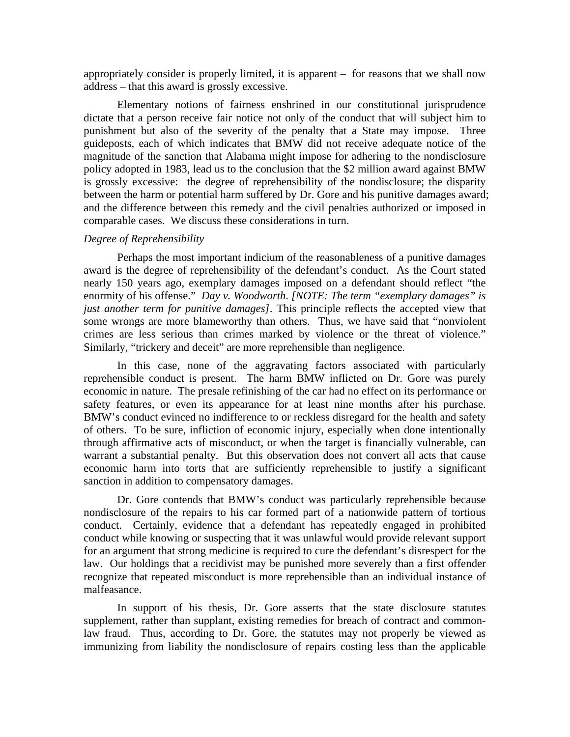appropriately consider is properly limited, it is apparent – for reasons that we shall now address – that this award is grossly excessive.

 Elementary notions of fairness enshrined in our constitutional jurisprudence dictate that a person receive fair notice not only of the conduct that will subject him to punishment but also of the severity of the penalty that a State may impose. Three guideposts, each of which indicates that BMW did not receive adequate notice of the magnitude of the sanction that Alabama might impose for adhering to the nondisclosure policy adopted in 1983, lead us to the conclusion that the \$2 million award against BMW is grossly excessive: the degree of reprehensibility of the nondisclosure; the disparity between the harm or potential harm suffered by Dr. Gore and his punitive damages award; and the difference between this remedy and the civil penalties authorized or imposed in comparable cases. We discuss these considerations in turn.

### *Degree of Reprehensibility*

 Perhaps the most important indicium of the reasonableness of a punitive damages award is the degree of reprehensibility of the defendant's conduct. As the Court stated nearly 150 years ago, exemplary damages imposed on a defendant should reflect "the enormity of his offense." *Day v. Woodworth*. *[NOTE: The term "exemplary damages" is just another term for punitive damages]*. This principle reflects the accepted view that some wrongs are more blameworthy than others. Thus, we have said that "nonviolent crimes are less serious than crimes marked by violence or the threat of violence." Similarly, "trickery and deceit" are more reprehensible than negligence.

 In this case, none of the aggravating factors associated with particularly reprehensible conduct is present. The harm BMW inflicted on Dr. Gore was purely economic in nature. The presale refinishing of the car had no effect on its performance or safety features, or even its appearance for at least nine months after his purchase. BMW's conduct evinced no indifference to or reckless disregard for the health and safety of others. To be sure, infliction of economic injury, especially when done intentionally through affirmative acts of misconduct, or when the target is financially vulnerable, can warrant a substantial penalty. But this observation does not convert all acts that cause economic harm into torts that are sufficiently reprehensible to justify a significant sanction in addition to compensatory damages.

 Dr. Gore contends that BMW's conduct was particularly reprehensible because nondisclosure of the repairs to his car formed part of a nationwide pattern of tortious conduct. Certainly, evidence that a defendant has repeatedly engaged in prohibited conduct while knowing or suspecting that it was unlawful would provide relevant support for an argument that strong medicine is required to cure the defendant's disrespect for the law. Our holdings that a recidivist may be punished more severely than a first offender recognize that repeated misconduct is more reprehensible than an individual instance of malfeasance.

 In support of his thesis, Dr. Gore asserts that the state disclosure statutes supplement, rather than supplant, existing remedies for breach of contract and commonlaw fraud. Thus, according to Dr. Gore, the statutes may not properly be viewed as immunizing from liability the nondisclosure of repairs costing less than the applicable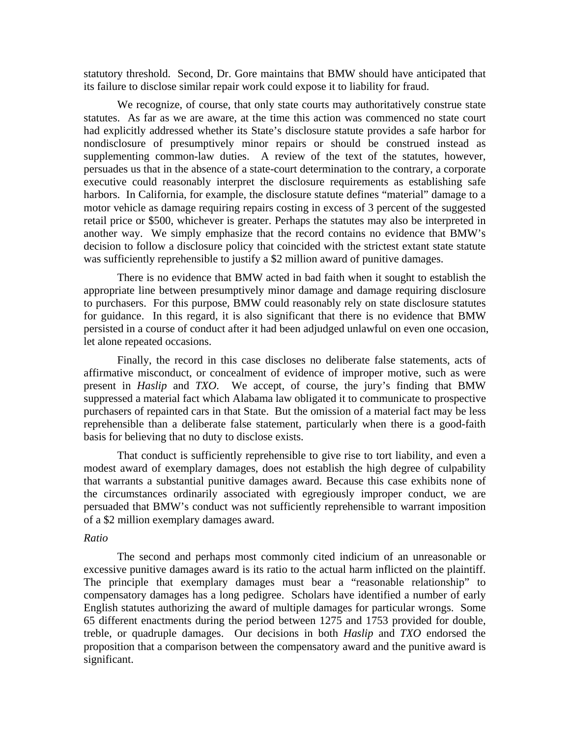statutory threshold. Second, Dr. Gore maintains that BMW should have anticipated that its failure to disclose similar repair work could expose it to liability for fraud.

 We recognize, of course, that only state courts may authoritatively construe state statutes. As far as we are aware, at the time this action was commenced no state court had explicitly addressed whether its State's disclosure statute provides a safe harbor for nondisclosure of presumptively minor repairs or should be construed instead as supplementing common-law duties. A review of the text of the statutes, however, persuades us that in the absence of a state-court determination to the contrary, a corporate executive could reasonably interpret the disclosure requirements as establishing safe harbors. In California, for example, the disclosure statute defines "material" damage to a motor vehicle as damage requiring repairs costing in excess of 3 percent of the suggested retail price or \$500, whichever is greater. Perhaps the statutes may also be interpreted in another way. We simply emphasize that the record contains no evidence that BMW's decision to follow a disclosure policy that coincided with the strictest extant state statute was sufficiently reprehensible to justify a \$2 million award of punitive damages.

 There is no evidence that BMW acted in bad faith when it sought to establish the appropriate line between presumptively minor damage and damage requiring disclosure to purchasers. For this purpose, BMW could reasonably rely on state disclosure statutes for guidance. In this regard, it is also significant that there is no evidence that BMW persisted in a course of conduct after it had been adjudged unlawful on even one occasion, let alone repeated occasions.

 Finally, the record in this case discloses no deliberate false statements, acts of affirmative misconduct, or concealment of evidence of improper motive, such as were present in *Haslip* and *TXO*. We accept, of course, the jury's finding that BMW suppressed a material fact which Alabama law obligated it to communicate to prospective purchasers of repainted cars in that State. But the omission of a material fact may be less reprehensible than a deliberate false statement, particularly when there is a good-faith basis for believing that no duty to disclose exists.

 That conduct is sufficiently reprehensible to give rise to tort liability, and even a modest award of exemplary damages, does not establish the high degree of culpability that warrants a substantial punitive damages award. Because this case exhibits none of the circumstances ordinarily associated with egregiously improper conduct, we are persuaded that BMW's conduct was not sufficiently reprehensible to warrant imposition of a \$2 million exemplary damages award.

## *Ratio*

 The second and perhaps most commonly cited indicium of an unreasonable or excessive punitive damages award is its ratio to the actual harm inflicted on the plaintiff. The principle that exemplary damages must bear a "reasonable relationship" to compensatory damages has a long pedigree. Scholars have identified a number of early English statutes authorizing the award of multiple damages for particular wrongs. Some 65 different enactments during the period between 1275 and 1753 provided for double, treble, or quadruple damages. Our decisions in both *Haslip* and *TXO* endorsed the proposition that a comparison between the compensatory award and the punitive award is significant.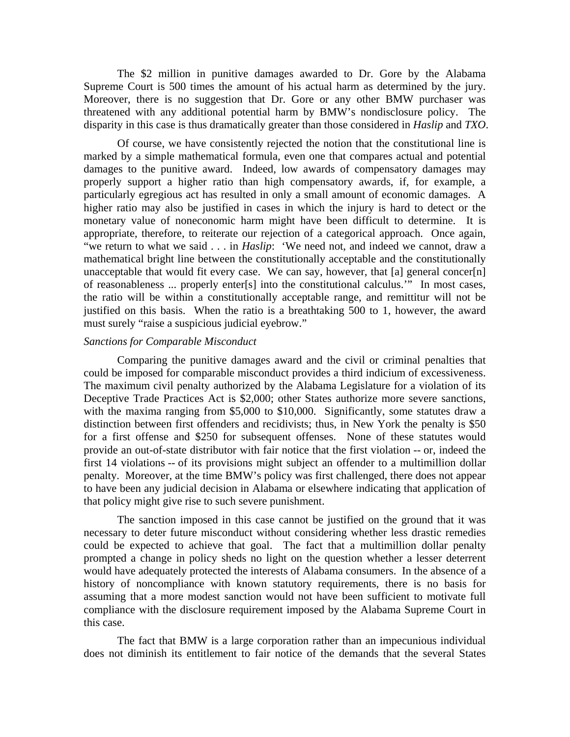The \$2 million in punitive damages awarded to Dr. Gore by the Alabama Supreme Court is 500 times the amount of his actual harm as determined by the jury. Moreover, there is no suggestion that Dr. Gore or any other BMW purchaser was threatened with any additional potential harm by BMW's nondisclosure policy. The disparity in this case is thus dramatically greater than those considered in *Haslip* and *TXO*.

 Of course, we have consistently rejected the notion that the constitutional line is marked by a simple mathematical formula, even one that compares actual and potential damages to the punitive award. Indeed, low awards of compensatory damages may properly support a higher ratio than high compensatory awards, if, for example, a particularly egregious act has resulted in only a small amount of economic damages. A higher ratio may also be justified in cases in which the injury is hard to detect or the monetary value of noneconomic harm might have been difficult to determine. It is appropriate, therefore, to reiterate our rejection of a categorical approach. Once again, "we return to what we said . . . in *Haslip*: 'We need not, and indeed we cannot, draw a mathematical bright line between the constitutionally acceptable and the constitutionally unacceptable that would fit every case. We can say, however, that [a] general concer[n] of reasonableness ... properly enter[s] into the constitutional calculus.'" In most cases, the ratio will be within a constitutionally acceptable range, and remittitur will not be justified on this basis. When the ratio is a breathtaking 500 to 1, however, the award must surely "raise a suspicious judicial eyebrow."

## *Sanctions for Comparable Misconduct*

 Comparing the punitive damages award and the civil or criminal penalties that could be imposed for comparable misconduct provides a third indicium of excessiveness. The maximum civil penalty authorized by the Alabama Legislature for a violation of its Deceptive Trade Practices Act is \$2,000; other States authorize more severe sanctions, with the maxima ranging from \$5,000 to \$10,000. Significantly, some statutes draw a distinction between first offenders and recidivists; thus, in New York the penalty is \$50 for a first offense and \$250 for subsequent offenses. None of these statutes would provide an out-of-state distributor with fair notice that the first violation -- or, indeed the first 14 violations -- of its provisions might subject an offender to a multimillion dollar penalty. Moreover, at the time BMW's policy was first challenged, there does not appear to have been any judicial decision in Alabama or elsewhere indicating that application of that policy might give rise to such severe punishment.

 The sanction imposed in this case cannot be justified on the ground that it was necessary to deter future misconduct without considering whether less drastic remedies could be expected to achieve that goal. The fact that a multimillion dollar penalty prompted a change in policy sheds no light on the question whether a lesser deterrent would have adequately protected the interests of Alabama consumers. In the absence of a history of noncompliance with known statutory requirements, there is no basis for assuming that a more modest sanction would not have been sufficient to motivate full compliance with the disclosure requirement imposed by the Alabama Supreme Court in this case.

 The fact that BMW is a large corporation rather than an impecunious individual does not diminish its entitlement to fair notice of the demands that the several States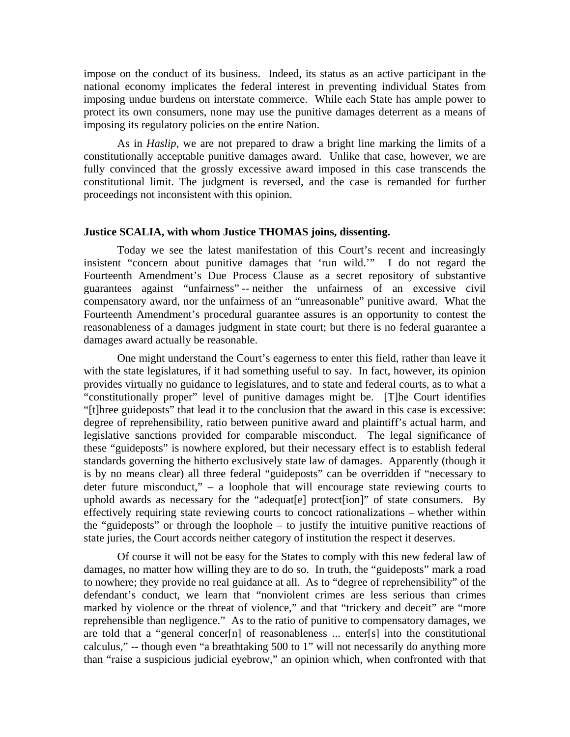impose on the conduct of its business. Indeed, its status as an active participant in the national economy implicates the federal interest in preventing individual States from imposing undue burdens on interstate commerce. While each State has ample power to protect its own consumers, none may use the punitive damages deterrent as a means of imposing its regulatory policies on the entire Nation.

 As in *Haslip*, we are not prepared to draw a bright line marking the limits of a constitutionally acceptable punitive damages award. Unlike that case, however, we are fully convinced that the grossly excessive award imposed in this case transcends the constitutional limit. The judgment is reversed, and the case is remanded for further proceedings not inconsistent with this opinion.

### **Justice SCALIA, with whom Justice THOMAS joins, dissenting.**

 Today we see the latest manifestation of this Court's recent and increasingly insistent "concern about punitive damages that 'run wild.'" I do not regard the Fourteenth Amendment's Due Process Clause as a secret repository of substantive guarantees against "unfairness" -- neither the unfairness of an excessive civil compensatory award, nor the unfairness of an "unreasonable" punitive award. What the Fourteenth Amendment's procedural guarantee assures is an opportunity to contest the reasonableness of a damages judgment in state court; but there is no federal guarantee a damages award actually be reasonable.

 One might understand the Court's eagerness to enter this field, rather than leave it with the state legislatures, if it had something useful to say. In fact, however, its opinion provides virtually no guidance to legislatures, and to state and federal courts, as to what a "constitutionally proper" level of punitive damages might be. [T]he Court identifies "[t]hree guideposts" that lead it to the conclusion that the award in this case is excessive: degree of reprehensibility, ratio between punitive award and plaintiff's actual harm, and legislative sanctions provided for comparable misconduct. The legal significance of these "guideposts" is nowhere explored, but their necessary effect is to establish federal standards governing the hitherto exclusively state law of damages. Apparently (though it is by no means clear) all three federal "guideposts" can be overridden if "necessary to deter future misconduct," – a loophole that will encourage state reviewing courts to uphold awards as necessary for the "adequat[e] protect[ion]" of state consumers. By effectively requiring state reviewing courts to concoct rationalizations – whether within the "guideposts" or through the loophole – to justify the intuitive punitive reactions of state juries, the Court accords neither category of institution the respect it deserves.

 Of course it will not be easy for the States to comply with this new federal law of damages, no matter how willing they are to do so. In truth, the "guideposts" mark a road to nowhere; they provide no real guidance at all. As to "degree of reprehensibility" of the defendant's conduct, we learn that "nonviolent crimes are less serious than crimes marked by violence or the threat of violence," and that "trickery and deceit" are "more reprehensible than negligence." As to the ratio of punitive to compensatory damages, we are told that a "general concer[n] of reasonableness ... enter[s] into the constitutional calculus," -- though even "a breathtaking 500 to 1" will not necessarily do anything more than "raise a suspicious judicial eyebrow," an opinion which, when confronted with that